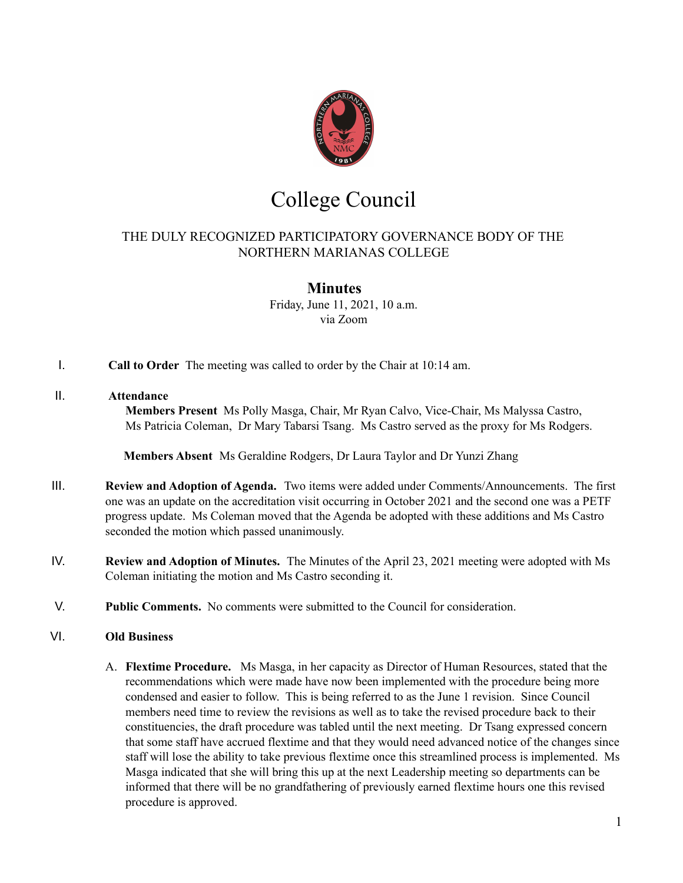

# College Council

# THE DULY RECOGNIZED PARTICIPATORY GOVERNANCE BODY OF THE NORTHERN MARIANAS COLLEGE

# **Minutes**

Friday, June 11, 2021, 10 a.m. via Zoom

I. **Call to Order** The meeting was called to order by the Chair at 10:14 am.

## II. **Attendance**

**Members Present** Ms Polly Masga, Chair, Mr Ryan Calvo, Vice-Chair, Ms Malyssa Castro, Ms Patricia Coleman, Dr Mary Tabarsi Tsang. Ms Castro served as the proxy for Ms Rodgers.

**Members Absent** Ms Geraldine Rodgers, Dr Laura Taylor and Dr Yunzi Zhang

- III. **Review and Adoption of Agenda.** Two items were added under Comments/Announcements. The first one was an update on the accreditation visit occurring in October 2021 and the second one was a PETF progress update. Ms Coleman moved that the Agenda be adopted with these additions and Ms Castro seconded the motion which passed unanimously.
- IV. **Review and Adoption of Minutes.** The Minutes of the April 23, 2021 meeting were adopted with Ms Coleman initiating the motion and Ms Castro seconding it.
- V. **Public Comments.** No comments were submitted to the Council for consideration.

### VI. **Old Business**

A. **Flextime [Procedure.](https://drive.google.com/file/d/1hvlVN7c4ttBZySreeXKKq3gYm2rpGFw2/view?usp=sharing)** Ms Masga, in her capacity as Director of Human Resources, stated that the recommendations which were made have now been implemented with the procedure being more condensed and easier to follow. This is being referred to as the June 1 revision. Since Council members need time to review the revisions as well as to take the revised procedure back to their constituencies, the draft procedure was tabled until the next meeting. Dr Tsang expressed concern that some staff have accrued flextime and that they would need advanced notice of the changes since staff will lose the ability to take previous flextime once this streamlined process is implemented. Ms Masga indicated that she will bring this up at the next Leadership meeting so departments can be informed that there will be no grandfathering of previously earned flextime hours one this revised procedure is approved.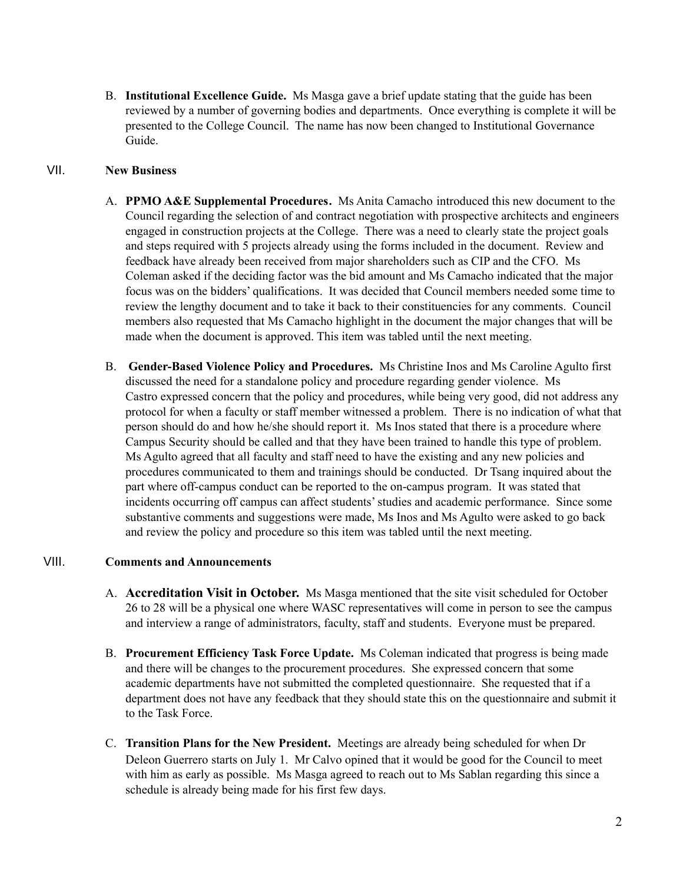B. **Institutional Excellence Guide.** Ms Masga gave a brief update stating that the guide has been reviewed by a number of governing bodies and departments. Once everything is complete it will be presented to the College Council. The name has now been changed to Institutional Governance Guide.

## VII. **New Business**

- A. **PPMO A&E [Supplemental](https://drive.google.com/file/d/1YR0KwPXCTq_bJUAzpeBS8xwDLf6XDQ0d/view?usp=sharing) Procedures.** Ms Anita Camacho introduced this new document to the Council regarding the selection of and contract negotiation with prospective architects and engineers engaged in construction projects at the College. There was a need to clearly state the project goals and steps required with 5 projects already using the forms included in the document. Review and feedback have already been received from major shareholders such as CIP and the CFO. Ms Coleman asked if the deciding factor was the bid amount and Ms Camacho indicated that the major focus was on the bidders' qualifications. It was decided that Council members needed some time to review the lengthy document and to take it back to their constituencies for any comments. Council members also requested that Ms Camacho highlight in the document the major changes that will be made when the document is approved. This item was tabled until the next meeting.
- B. **Gender-Based Violence Policy and Procedures.** Ms Christine Inos and Ms Caroline Agulto first discussed the need for a standalone policy and procedure regarding gender violence. Ms Castro expressed concern that the policy and procedures, while being very good, did not address any protocol for when a faculty or staff member witnessed a problem. There is no indication of what that person should do and how he/she should report it. Ms Inos stated that there is a procedure where Campus Security should be called and that they have been trained to handle this type of problem. Ms Agulto agreed that all faculty and staff need to have the existing and any new policies and procedures communicated to them and trainings should be conducted. Dr Tsang inquired about the part where off-campus conduct can be reported to the on-campus program. It was stated that incidents occurring off campus can affect students'studies and academic performance. Since some substantive comments and suggestions were made, Ms Inos and Ms Agulto were asked to go back and review the policy and procedure so this item was tabled until the next meeting.

### VIII. **Comments and Announcements**

- A. **Accreditation Visit in October.** Ms Masga mentioned that the site visit scheduled for October 26 to 28 will be a physical one where WASC representatives will come in person to see the campus and interview a range of administrators, faculty, staff and students. Everyone must be prepared.
- B. **Procurement Efficiency Task Force Update.** Ms Coleman indicated that progress is being made and there will be changes to the procurement procedures. She expressed concern that some academic departments have not submitted the completed questionnaire. She requested that if a department does not have any feedback that they should state this on the questionnaire and submit it to the Task Force.
- C. **Transition Plans for the New President.** Meetings are already being scheduled for when Dr Deleon Guerrero starts on July 1. Mr Calvo opined that it would be good for the Council to meet with him as early as possible. Ms Masga agreed to reach out to Ms Sablan regarding this since a schedule is already being made for his first few days.